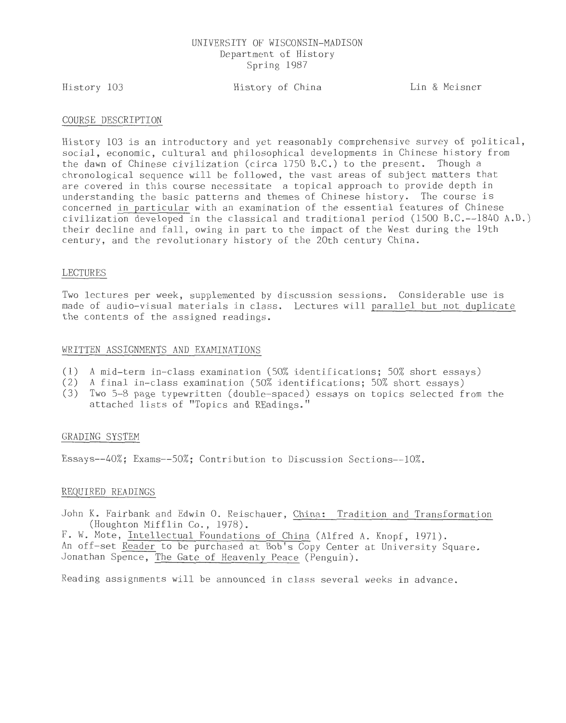## UNIVERSITY OF WISCONSIN-MADISON Department of History Spring 1987

History 103

# History of China Lin & Meisner

### COURSE DESCRIPTION

History 103 is an introductory and yet reasonably comprehensive survey of political, social, economic, cultural and philosophical developments in Chinese history from the dawn of Chinese civilization (circa 1750 B.C.) to the present. Though a chronological sequence will be followed, the vast areas of subject matters that are covered in this course necessitate a topical approach to provide depth in understanding the basic patterns and themes of Chinese history. The course is concerned in particular with an examination of the essential features of Chinese civilization developed in the classical and traditional period (1500 B.C.--1840 A.D. ) their decline and fall, owing in part to the impact of the West during the 19th century, and the revolutionary history of the 20th century China.

### LECTURES

Two lectures per week, supplemented by discussion sessions. Considerable use is made of audio-visual materials in class. Lectures will parallel but not duplicate the contents of the assigned readings.

### WRITTEN ASSIGNMENTS AND EXAMINATIONS

- (1) A mid-term in-class examination (50% identifications; 50% short essays)
- (2) A final in-class examination (50% identifications; 50% short essays)
- (3) Two 5-8 page typewritten (double-spaced) essays on topics selected from the attached lists of "Topics and REadings."

## GRADING SYSTEM

Essays--40%; Exams--50%; Contribution to Discussion Sections--10%.

### REQUIRED READINGS

John K. Fairbank and Edwin 0. Reischauer, China: Tradition and Transformation (Houghton Mifflin Co., 1978).

F. W. Mote, Intellectual Foundations of China (Alfred A. Knopf, 1971). An off-set Reader to be purchased at Bob's Copy Center at University Square. Jonathan Spence, The Gate of Heavenly Peace (Penguin).

Reading assignments will be announced in class several weeks in advance.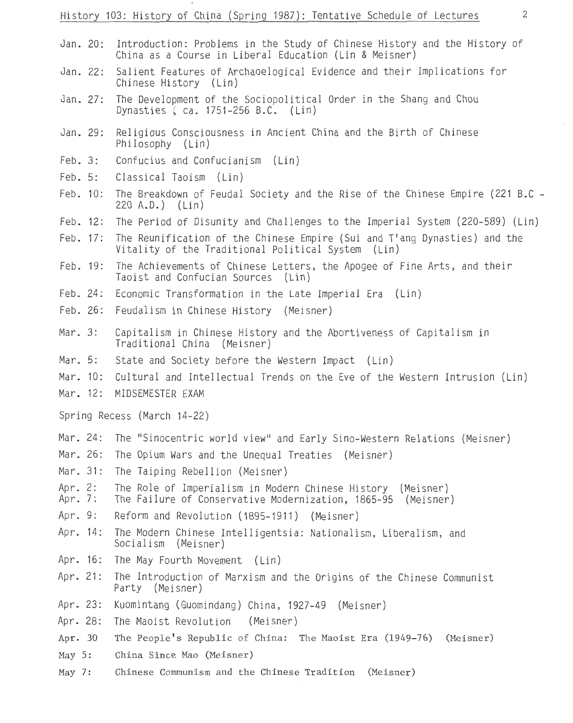- Jan. 20: Introduction: Problems in the Study of Chinese History and the History of China as a Course in Liberal Education (Lin & Meisner)
- Jan. 22: Salient Features of Archaoelogical Evidence and their Implications for Chinese History (Lin)
- Jan. 27: The Development of the Sociopolitical Order in the Shang and Chou Dynasties *(* ca. 1751-256 B.C. (Lin)
- Jan. 29: Religious Consciousness in Ancient China and the Birth of Chinese Philosophy (Lin)
- Feb. 3: Confucius and Confucianism (Lin)
- Feb. 5: Classical Taoism (Lin)
- Feb. 10: The Breakdown of Feudal Society and the Rise of the Chinese Empire (221 B.C - 220 A.D.) (Lin)
- Feb. 12: The Period of Disunity and Challenges to the Imperial System (220-589) (Lin)
- Feb. 17: The Reunification of the Chinese Empire (Sui and T'ang Dynasties) and the Vitality of the Traditional Political System (Lin)
- Feb. 19: The Achievements of Chinese Letters, the Apogee of Fine Arts, and their Taoist and Confucian Sources (Lin)
- Feb. 24: Economic Transformation in the Late Imperial Era (Lin)
- Feb. 26: Feudalism in Chinese History (Meisner)
- Mar. 3: Capitalism in Chinese History and the Abortiveness of Capitalism in Traditional China (Meisner)
- Mar. 5: State and Society before the Western Impact (Lin)
- Mar. 10: Cultural and Intellectual Trends on the Eve of the Western Intrusion (Lin)
- Mar. 12: MIDSEMESTER EXAM

Spring Recess (March 14-22)

- Mar. 24: The "Sinocentric world view" and Early Sino-Western Relations (Meisner)
- Mar. 26: The Opium Wars and the Unequal Treaties (Meisner)
- Mar. 31: The Taiping Rebellion (Meisner)
- Apr. 2: The Role of Imperialism in Modern Chinese History (Meisner)
- Apr. 7: The Failure of Conservative Modernization, 1865-95 (Meisner)
- Apr. 9: Reform and Revolution (1895-1911) (Meisner)
- Apr. 14: The Modern Chinese Intelligentsia: Nationalism, Liberalism, and Socialism (Meisner)
- Apr. 16: The May Fourth Movement (Lin)
- Apr. 21: The Introduction of Marxism and the Origins of the Chinese Communist Party (Meisner)
- Apr. 23: Kuomintang (Guomindang) China, 1927-49 (Meisner)
- Apr. 28: The Maoist Revolution (Meisner)
- Apr. 30 The People's Republic of China: The Maoist Era (1949-76) (Meisner)
- May 5: China Since Mao (Meisner)
- May 7: Chinese Communism and the Chinese Tradition (Meisner)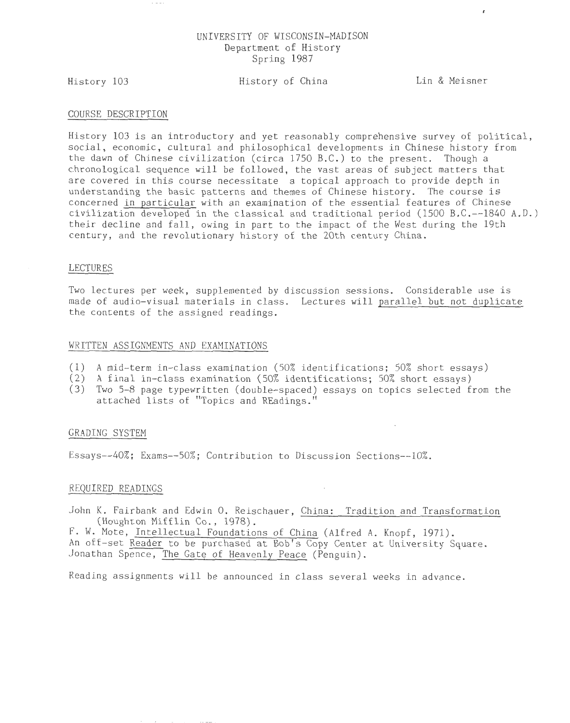# UNIVERSITY OF WISCONSIN-MADISON Department of History Spring 1987

History 103

# History of China Lin & Meisner

 $\mathbf{r}$ 

#### COURSE DESCRIPTION

History 103 is an introductory and yet reasonably comprehensive survey of political, social, economic, cultural and philosophical developments in Chinese history from the dawn of Chinese civilization (circa 17SO B.C.) to the present. Though a chronological sequence will be followed, the vast areas of subject matters that are covered in this course necessitate a topical approach to provide depth in understanding the basic patterns and themes of Chinese history. The course is concerned in particular with an examination of the essential features of Chinese civilization developed in the classical and traditional period (1500 B.C. $-$ -1840 A.D.) their decline and fall, owing in part to the impact of the West during the 19th century, and the revolutionary history of the 20th century China.

### LECTURES

Two lectures per week, supplemented by discussion sessions. Considerable use is made of audio-visual materials in class. Lectures will parallel but not duplicate the contents of the assigned readings.

#### WRITTEN ASSIGNMENTS AND EXAMINATIONS

- (1) A mid-term in-class examination (50% identifications; 50% short essays)
- (2) A final in-class examination (SO% identifications; SO% short essays)
- (3) Two S-8 page typewritten (double-spaced) essays on topics selected from the attached lists of "Topics and REadings."

## GRADING SYSTEM

Essavs--40%; Exams--50%; Contribution to Discussion Sections--10%.

#### REQUIRED READINGS

John K. Fairbank and Edwin O. Reischauer, China: Tradition and Transformation (Houghton Mifflin Co., 1978).

F. W. Mote, Intellectual Foundations of China (Alfred A. Knopf, 1971).

An off-set Reader to be purchased at Bob's Copy Center at University Square. Jonathan Spence, The Gate of Heavenly Peace (Penguin).

Reading assignments will be announced in class several weeks in advance.